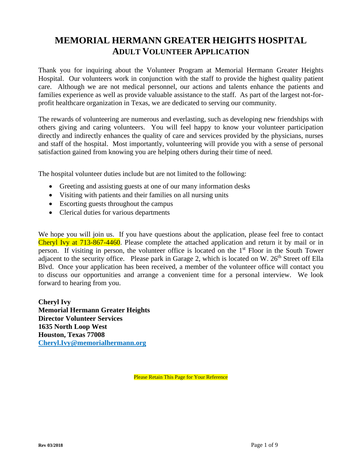# **MEMORIAL HERMANN GREATER HEIGHTS HOSPITAL ADULT VOLUNTEER APPLICATION**

Thank you for inquiring about the Volunteer Program at Memorial Hermann Greater Heights Hospital. Our volunteers work in conjunction with the staff to provide the highest quality patient care. Although we are not medical personnel, our actions and talents enhance the patients and families experience as well as provide valuable assistance to the staff. As part of the largest not-forprofit healthcare organization in Texas, we are dedicated to serving our community.

The rewards of volunteering are numerous and everlasting, such as developing new friendships with others giving and caring volunteers. You will feel happy to know your volunteer participation directly and indirectly enhances the quality of care and services provided by the physicians, nurses and staff of the hospital. Most importantly, volunteering will provide you with a sense of personal satisfaction gained from knowing you are helping others during their time of need.

The hospital volunteer duties include but are not limited to the following:

- Greeting and assisting guests at one of our many information desks
- Visiting with patients and their families on all nursing units
- Escorting guests throughout the campus
- Clerical duties for various departments

We hope you will join us. If you have questions about the application, please feel free to contact Cheryl Ivy at 713-867-4460. Please complete the attached application and return it by mail or in person. If visiting in person, the volunteer office is located on the 1<sup>st</sup> Floor in the South Tower adjacent to the security office. Please park in Garage 2, which is located on W.  $26<sup>th</sup>$  Street off Ella Blvd. Once your application has been received, a member of the volunteer office will contact you to discuss our opportunities and arrange a convenient time for a personal interview. We look forward to hearing from you.

**Cheryl Ivy Memorial Hermann Greater Heights Director Volunteer Services 1635 North Loop West Houston, Texas 77008 Cheryl.Ivy@memorialhermann.org**

Please Retain This Page for Your Reference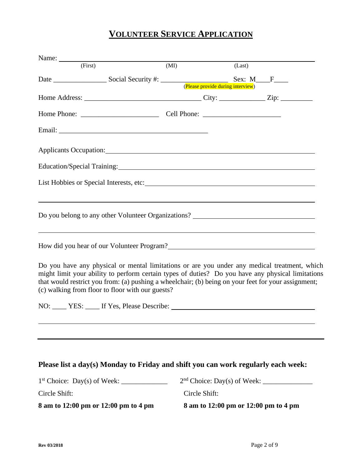# **VOLUNTEER SERVICE APPLICATION**

|               | Name:                                                                                                                                                                                                                                                                                                                                                        |               |        |  |
|---------------|--------------------------------------------------------------------------------------------------------------------------------------------------------------------------------------------------------------------------------------------------------------------------------------------------------------------------------------------------------------|---------------|--------|--|
|               | (First)                                                                                                                                                                                                                                                                                                                                                      | (MI)          | (Last) |  |
|               |                                                                                                                                                                                                                                                                                                                                                              |               |        |  |
|               |                                                                                                                                                                                                                                                                                                                                                              |               |        |  |
|               |                                                                                                                                                                                                                                                                                                                                                              |               |        |  |
|               |                                                                                                                                                                                                                                                                                                                                                              |               |        |  |
|               |                                                                                                                                                                                                                                                                                                                                                              |               |        |  |
|               |                                                                                                                                                                                                                                                                                                                                                              |               |        |  |
|               | Education/Special Training: 1996. The Contract of the Contract of the Contract of the Contract of the Contract of the Contract of the Contract of the Contract of the Contract of the Contract of the Contract of the Contract                                                                                                                               |               |        |  |
|               | List Hobbies or Special Interests, etc:<br><u>List</u> Hobbies or Special Interests, etc:                                                                                                                                                                                                                                                                    |               |        |  |
|               | Do you belong to any other Volunteer Organizations?                                                                                                                                                                                                                                                                                                          |               |        |  |
|               | How did you hear of our Volunteer Program?<br><u>Letter and the contract of the set of our Volunteer Program?</u>                                                                                                                                                                                                                                            |               |        |  |
|               | Do you have any physical or mental limitations or are you under any medical treatment, which<br>might limit your ability to perform certain types of duties? Do you have any physical limitations<br>that would restrict you from: (a) pushing a wheelchair; (b) being on your feet for your assignment;<br>(c) walking from floor to floor with our guests? |               |        |  |
|               | NO: _____ YES: _____ If Yes, Please Describe: ___________________________________                                                                                                                                                                                                                                                                            |               |        |  |
|               |                                                                                                                                                                                                                                                                                                                                                              |               |        |  |
|               | Please list a day(s) Monday to Friday and shift you can work regularly each week:                                                                                                                                                                                                                                                                            |               |        |  |
|               |                                                                                                                                                                                                                                                                                                                                                              |               |        |  |
|               |                                                                                                                                                                                                                                                                                                                                                              |               |        |  |
| Circle Shift: |                                                                                                                                                                                                                                                                                                                                                              | Circle Shift: |        |  |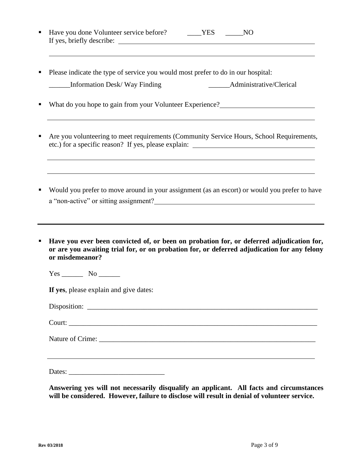| • Have you done Volunteer service before? | YES | NO |  |
|-------------------------------------------|-----|----|--|
| If yes, briefly describe:                 |     |    |  |

■ Please indicate the type of service you would most prefer to do in our hospital: \_\_\_\_\_\_Information Desk/ Way Finding \_\_\_\_\_\_Administrative/Clerical

■ What do you hope to gain from your Volunteer Experience?<br>■

- **EXECUTE:** Are you volunteering to meet requirements (Community Service Hours, School Requirements, etc.) for a specific reason? If yes, please explain:
- Would you prefer to move around in your assignment (as an escort) or would you prefer to have a "non-active" or sitting assignment?
- Have you ever been convicted of, or been on probation for, or deferred adjudication for, **or are you awaiting trial for, or on probation for, or deferred adjudication for any felony or misdemeanor?**

Yes No

**If yes**, please explain and give dates:

Court:

Nature of Crime:

Dates: \_\_\_\_\_\_\_\_\_\_\_\_\_\_\_\_\_\_\_\_\_\_\_\_\_\_\_

**Answering yes will not necessarily disqualify an applicant. All facts and circumstances will be considered. However, failure to disclose will result in denial of volunteer service.**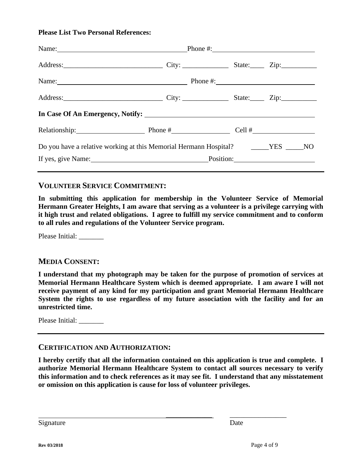#### **Please List Two Personal References:**

| Name: <u>Name:</u> Phone #: Phone #:                                                |              |  |
|-------------------------------------------------------------------------------------|--------------|--|
|                                                                                     |              |  |
|                                                                                     | Phone $\#$ : |  |
|                                                                                     |              |  |
|                                                                                     |              |  |
| Relationship: $\qquad \qquad \qquad$ Phone # $\qquad \qquad$ Cell # $\qquad \qquad$ |              |  |
| Do you have a relative working at this Memorial Hermann Hospital? ______YES _____NO |              |  |
| If yes, give Name: Position: Position:                                              |              |  |
|                                                                                     |              |  |

#### **VOLUNTEER SERVICE COMMITMENT:**

**In submitting this application for membership in the Volunteer Service of Memorial Hermann Greater Heights, I am aware that serving as a volunteer is a privilege carrying with it high trust and related obligations. I agree to fulfill my service commitment and to conform to all rules and regulations of the Volunteer Service program.**

Please Initial: \_\_\_\_\_\_\_

#### **MEDIA CONSENT:**

**I understand that my photograph may be taken for the purpose of promotion of services at Memorial Hermann Healthcare System which is deemed appropriate. I am aware I will not receive payment of any kind for my participation and grant Memorial Hermann Healthcare System the rights to use regardless of my future association with the facility and for an unrestricted time.** 

Please Initial:

#### **CERTIFICATION AND AUTHORIZATION:**

**I hereby certify that all the information contained on this application is true and complete. I authorize Memorial Hermann Healthcare System to contact all sources necessary to verify this information and to check references as it may see fit. I understand that any misstatement or omission on this application is cause for loss of volunteer privileges.** 

Signature Date

\_\_\_\_\_\_\_\_\_\_\_\_\_ \_\_\_\_\_\_\_\_\_\_\_\_\_\_\_\_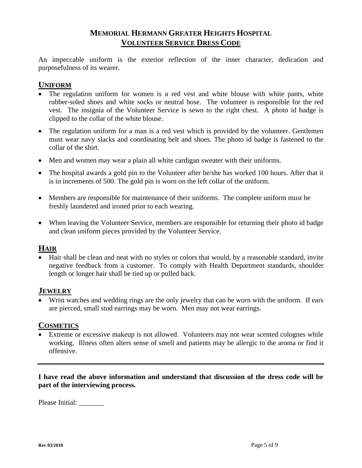## **MEMORIAL HERMANN GREATER HEIGHTS HOSPITAL VOLUNTEER SERVICE DRESS CODE**

An impeccable uniform is the exterior reflection of the inner character, dedication and purposefulness of its wearer.

## **UNIFORM**

- The regulation uniform for women is a red vest and white blouse with white pants, white rubber-soled shoes and white socks or neutral hose. The volunteer is responsible for the red vest. The insignia of the Volunteer Service is sewn to the right chest. A photo id badge is clipped to the collar of the white blouse.
- The regulation uniform for a man is a red vest which is provided by the volunteer. Gentlemen must wear navy slacks and coordinating belt and shoes. The photo id badge is fastened to the collar of the shirt.
- Men and women may wear a plain all white cardigan sweater with their uniforms.
- The hospital awards a gold pin to the Volunteer after he/she has worked 100 hours. After that it is in increments of 500. The gold pin is worn on the left collar of the uniform.
- Members are responsible for maintenance of their uniforms. The complete uniform must be freshly laundered and ironed prior to each wearing.
- When leaving the Volunteer Service, members are responsible for returning their photo id badge and clean uniform pieces provided by the Volunteer Service.

## **HAIR**

• Hair shall be clean and neat with no styles or colors that would, by a reasonable standard, invite negative feedback from a customer. To comply with Health Department standards, shoulder length or longer hair shall be tied up or pulled back.

## **JEWELRY**

• Wrist watches and wedding rings are the only jewelry that can be worn with the uniform. If ears are pierced, small stud earrings may be worn. Men may not wear earrings.

#### **COSMETICS**

• Extreme or excessive makeup is not allowed. Volunteers may not wear scented colognes while working. Illness often alters sense of smell and patients may be allergic to the aroma or find it offensive.

**I have read the above information and understand that discussion of the dress code will be part of the interviewing process.**

Please Initial: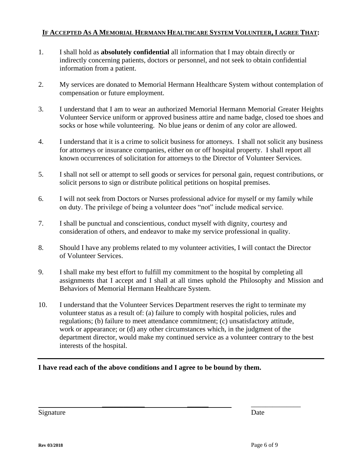#### IF ACCEPTED AS A MEMORIAL HERMANN HEALTHCARE SYSTEM VOLUNTEER, I AGREE THAT:

- 1. I shall hold as **absolutely confidential** all information that I may obtain directly or indirectly concerning patients, doctors or personnel, and not seek to obtain confidential information from a patient.
- 2. My services are donated to Memorial Hermann Healthcare System without contemplation of compensation or future employment.
- 3. I understand that I am to wear an authorized Memorial Hermann Memorial Greater Heights Volunteer Service uniform or approved business attire and name badge, closed toe shoes and socks or hose while volunteering. No blue jeans or denim of any color are allowed.
- 4. I understand that it is a crime to solicit business for attorneys. I shall not solicit any business for attorneys or insurance companies, either on or off hospital property. I shall report all known occurrences of solicitation for attorneys to the Director of Volunteer Services.
- 5. I shall not sell or attempt to sell goods or services for personal gain, request contributions, or solicit persons to sign or distribute political petitions on hospital premises.
- 6. I will not seek from Doctors or Nurses professional advice for myself or my family while on duty. The privilege of being a volunteer does "not" include medical service.
- 7. I shall be punctual and conscientious, conduct myself with dignity, courtesy and consideration of others, and endeavor to make my service professional in quality.
- 8. Should I have any problems related to my volunteer activities, I will contact the Director of Volunteer Services.
- 9. I shall make my best effort to fulfill my commitment to the hospital by completing all assignments that I accept and I shall at all times uphold the Philosophy and Mission and Behaviors of Memorial Hermann Healthcare System.
- 10. I understand that the Volunteer Services Department reserves the right to terminate my volunteer status as a result of: (a) failure to comply with hospital policies, rules and regulations; (b) failure to meet attendance commitment; (c) unsatisfactory attitude, work or appearance; or (d) any other circumstances which, in the judgment of the department director, would make my continued service as a volunteer contrary to the best interests of the hospital.

\_\_\_\_\_\_\_\_\_\_\_\_ \_\_\_\_\_\_ \_\_\_\_\_\_\_\_\_\_\_\_\_\_

#### **I have read each of the above conditions and I agree to be bound by them.**

Signature Date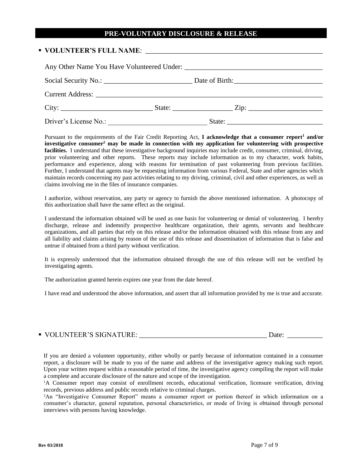#### **PRE-VOLUNTARY DISCLOSURE & RELEASE**

# ▪ **VOLUNTEER'S FULL NAME**: \_\_\_\_\_\_\_\_\_\_\_\_\_\_\_\_\_\_\_\_\_\_\_\_\_\_\_\_\_\_\_\_\_\_\_\_\_\_\_\_\_\_\_\_\_\_\_\_\_\_ Any Other Name You Have Volunteered Under: Social Security No.: <br>
Date of Birth: Current Address: \_\_\_\_\_\_\_\_\_\_\_\_\_\_\_\_\_\_\_\_\_\_\_\_\_\_\_\_\_\_\_\_\_\_\_\_\_\_\_\_\_\_\_\_\_\_\_\_\_\_\_\_\_\_\_\_\_\_\_\_\_\_\_\_ City: \_\_\_\_\_\_\_\_\_\_\_\_\_\_\_\_\_\_\_\_\_\_\_\_\_\_ State: \_\_\_\_\_\_\_\_\_\_\_\_\_\_\_\_\_ Zip: \_\_\_\_\_\_\_\_\_\_\_\_\_\_\_\_\_\_\_\_\_ Driver's License No.: \_\_\_\_\_\_\_\_\_\_\_\_\_\_\_\_\_\_\_\_\_\_\_\_\_\_\_\_ State: \_\_\_\_\_\_\_\_\_\_\_\_\_\_\_\_\_\_\_\_\_\_\_\_\_\_\_

Pursuant to the requirements of the Fair Credit Reporting Act, **I acknowledge that a consumer report<sup>1</sup> and/or investigative consumer<sup>2</sup> may be made in connection with my application for volunteering with prospective facilities.** I understand that these investigative background inquiries may include credit, consumer, criminal, driving, prior volunteering and other reports. These reports may include information as to my character, work habits, performance and experience, along with reasons for termination of past volunteering from previous facilities. Further, I understand that agents may be requesting information from various Federal, State and other agencies which maintain records concerning my past activities relating to my driving, criminal, civil and other experiences, as well as claims involving me in the files of insurance companies.

I authorize, without reservation, any party or agency to furnish the above mentioned information. A photocopy of this authorization shall have the same effect as the original.

I understand the information obtained will be used as one basis for volunteering or denial of volunteering. I hereby discharge, release and indemnify prospective healthcare organization, their agents, servants and healthcare organizations, and all parties that rely on this release and/or the information obtained with this release from any and all liability and claims arising by reason of the use of this release and dissemination of information that is false and untrue if obtained from a third party without verification.

It is expressly understood that the information obtained through the use of this release will not be verified by investigating agents.

The authorization granted herein expires one year from the date hereof.

I have read and understood the above information, and assert that all information provided by me is true and accurate.

| • VOLUNTEER'S SIGNATURE:<br>Jate |
|----------------------------------|
|----------------------------------|

If you are denied a volunteer opportunity, either wholly or partly because of information contained in a consumer report, a disclosure will be made to you of the name and address of the investigative agency making such report. Upon your written request within a reasonable period of time, the investigative agency compiling the report will make a complete and accurate disclosure of the nature and scope of the investigation.

<sup>1</sup>A Consumer report may consist of enrollment records, educational verification, licensure verification, driving records, previous address and public records relative to criminal charges.

<sup>2</sup>An "Investigative Consumer Report" means a consumer report or portion thereof in which information on a consumer's character, general reputation, personal characteristics, or mode of living is obtained through personal interviews with persons having knowledge.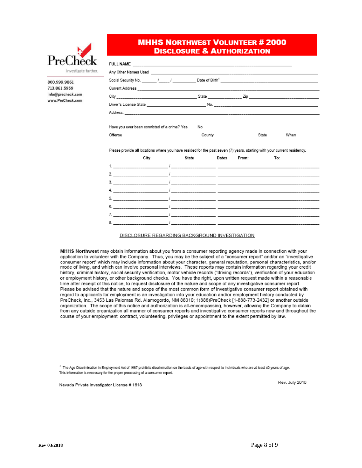

800.999.9861 713.861.5959 info@precheck.com www.PreCheck.com **MHHS NORTHWEST VOLUNTEER # 2000 DISCLOSURE & AUTHORIZATION** 

|                                                                                                                         | No.   |       |                                                                                                                                                                                                                               |     |
|-------------------------------------------------------------------------------------------------------------------------|-------|-------|-------------------------------------------------------------------------------------------------------------------------------------------------------------------------------------------------------------------------------|-----|
| Have you ever been convicted of a crime? Yes<br>Offense When Windows (County County State When                          |       |       |                                                                                                                                                                                                                               |     |
|                                                                                                                         |       |       |                                                                                                                                                                                                                               |     |
| City                                                                                                                    | State | Dates | From: and a series of the series of the series of the series of the series of the series of the series of the series of the series of the series of the series of the series of the series of the series of the series of the | To: |
| Please provide all locations where you have resided for the past seven (7) years, starting with your current residency. |       |       |                                                                                                                                                                                                                               |     |

#### DISCLOSURE REGARDING BACKGROUND INVESTIGATION

MHHS Northwest may obtain information about you from a consumer reporting agency made in connection with your application to volunteer with the Company. Thus, you may be the subject of a "consumer report" and/or an "investigative consumer report" which may include information about your character, general reputation, personal characteristics, and/or mode of living, and which can involve personal interviews. These reports may contain information regarding your credit history, criminal history, social security verification, motor vehicle records ("driving records"), verification of your education or employment history, or other background checks. You have the right, upon written request made within a reasonable time after receipt of this notice, to request disclosure of the nature and scope of any investigative consumer report. Please be advised that the nature and scope of the most common form of investigative consumer report obtained with regard to applicants for employment is an investigation into your education and/or employment history conducted by PreCheck, Inc., 3453 Las Palomas Rd. Alamogordo, NM 88310; 1(888)PreCheck [1-888-773-2432] or another outside organization. The scope of this notice and authorization is all-encompassing, however, allowing the Company to obtain from any outside organization all manner of consumer reports and investigative consumer reports now and throughout the course of your employment, contract, volunteering, privileges or appointment to the extent permitted by law.

\* The Age Discrimination in Employment Act of 1987 prohibits discrimination on the basis of age with respect to individuals who are at least 40 years of age. This information is necessary for the proper processing of a consumer report.

Nevada Private Investigator License # 1618

Rev. July 2010